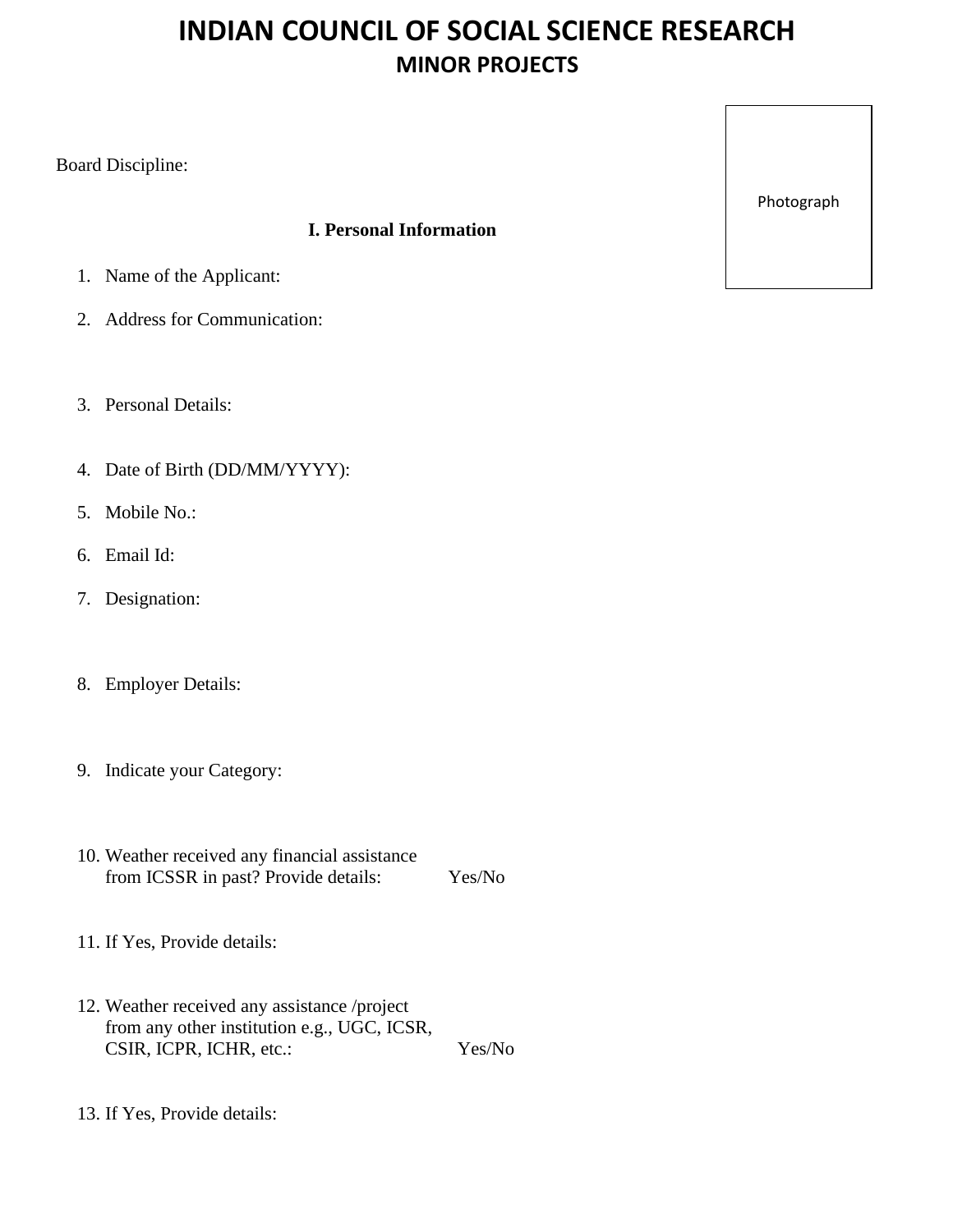# **INDIAN COUNCIL OF SOCIAL SCIENCE RESEARCH MINOR PROJECTS**

Board Discipline:

## **I. Personal Information**

- 1. Name of the Applicant:
- 2. Address for Communication:
- 3. Personal Details:
- 4. Date of Birth (DD/MM/YYYY):
- 5. Mobile No.:
- 6. Email Id:
- 7. Designation:
- 8. Employer Details:
- 9. Indicate your Category:
- 10. Weather received any financial assistance from ICSSR in past? Provide details: Yes/No
- 11. If Yes, Provide details:
- 12. Weather received any assistance /project from any other institution e.g., UGC, ICSR, CSIR, ICPR, ICHR, etc.: Yes/No
- 13. If Yes, Provide details:

Photograph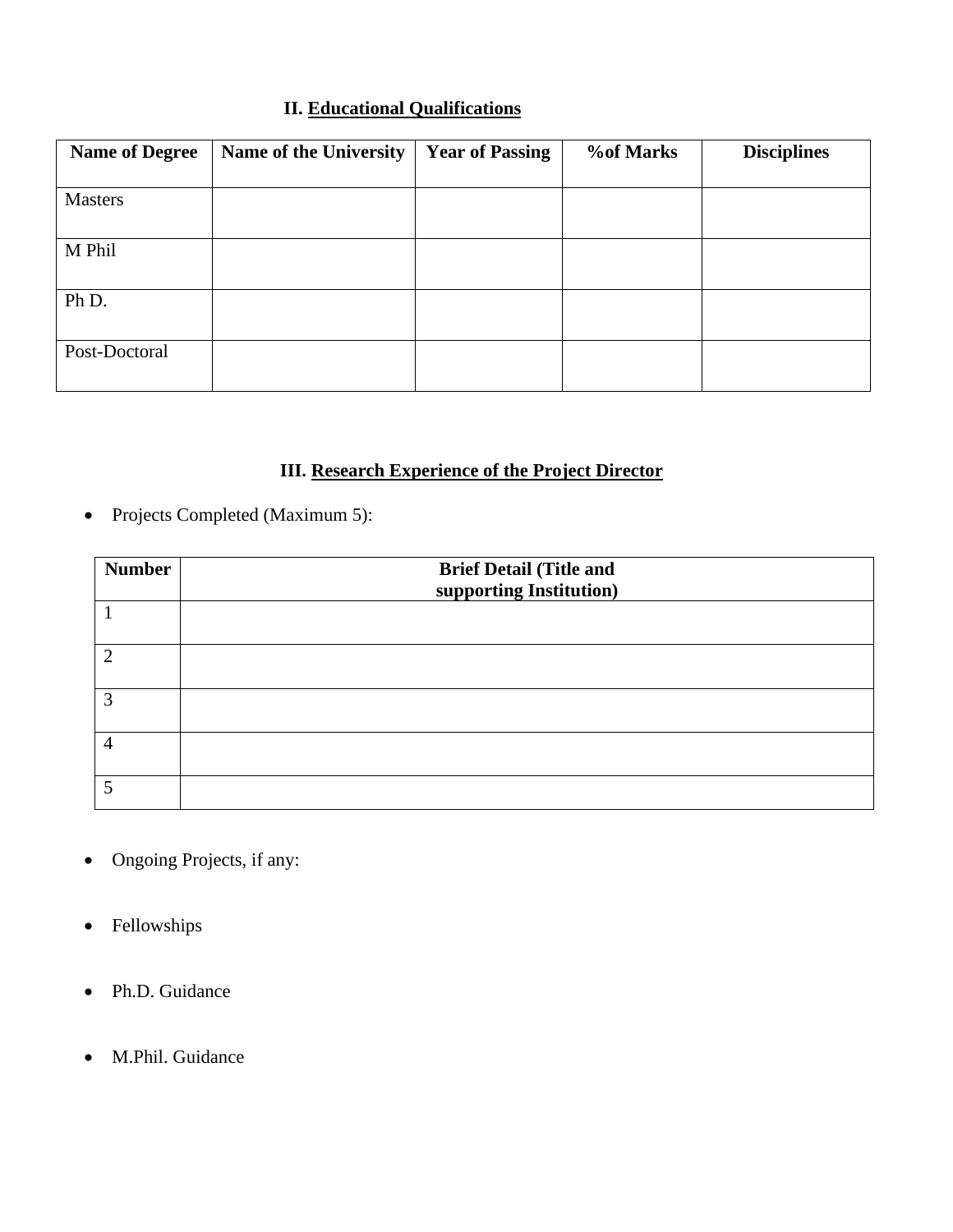# **II. Educational Qualifications**

| <b>Name of Degree</b> | <b>Name of the University</b> | <b>Year of Passing</b> | <b>%of Marks</b> | <b>Disciplines</b> |
|-----------------------|-------------------------------|------------------------|------------------|--------------------|
|                       |                               |                        |                  |                    |
| <b>Masters</b>        |                               |                        |                  |                    |
| M Phil                |                               |                        |                  |                    |
| Ph D.                 |                               |                        |                  |                    |
| Post-Doctoral         |                               |                        |                  |                    |

# **III. Research Experience of the Project Director**

• Projects Completed (Maximum 5):

| <b>Number</b> | <b>Brief Detail (Title and</b><br>supporting Institution) |
|---------------|-----------------------------------------------------------|
|               |                                                           |
| $\mathcal{D}$ |                                                           |
| $\mathbf 3$   |                                                           |
|               |                                                           |
|               |                                                           |

- Ongoing Projects, if any:
- Fellowships
- Ph.D. Guidance
- M.Phil. Guidance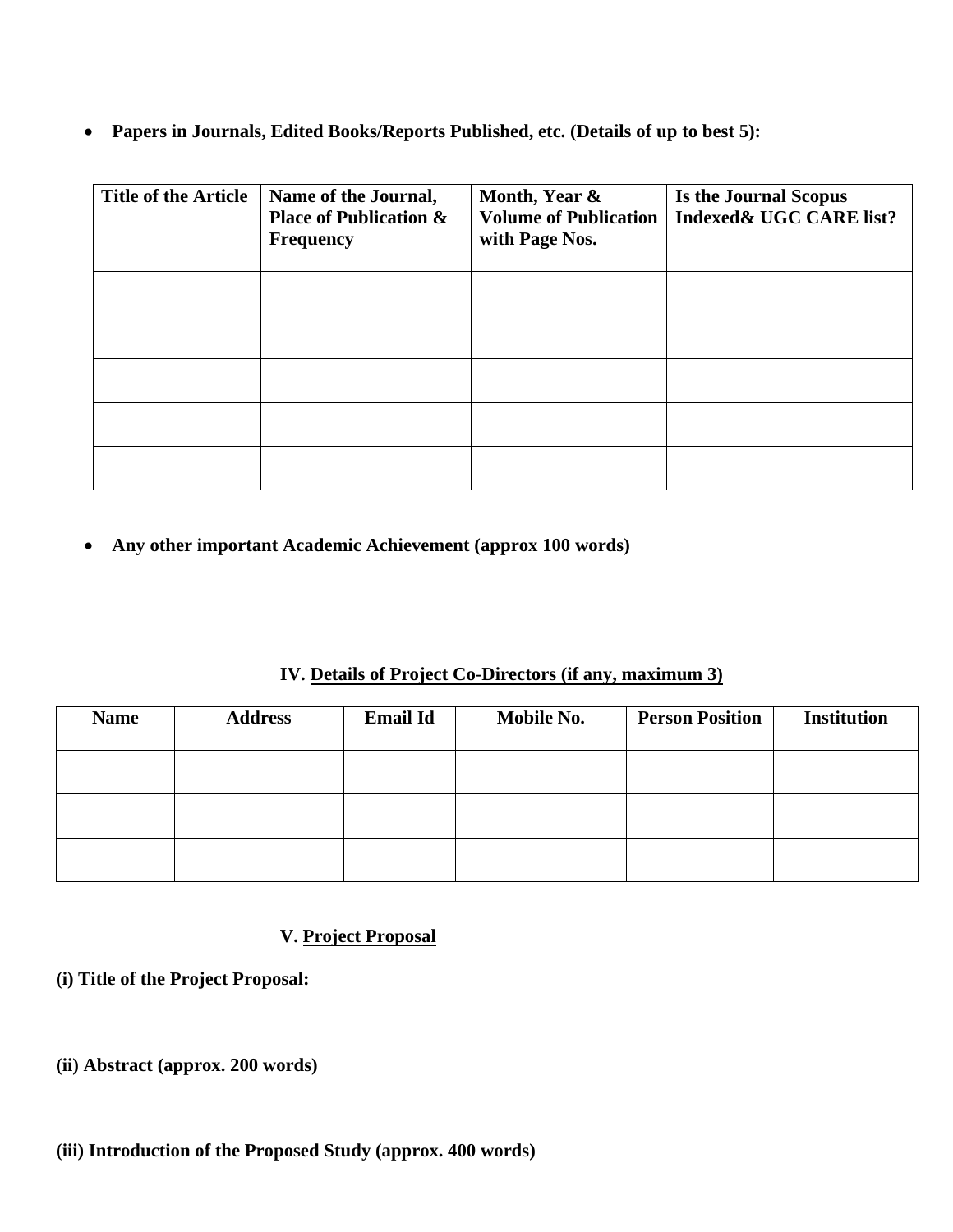• **Papers in Journals, Edited Books/Reports Published, etc. (Details of up to best 5):**

| <b>Title of the Article</b> | Name of the Journal,<br><b>Place of Publication &amp;</b><br><b>Frequency</b> | Month, Year &<br><b>Volume of Publication</b><br>with Page Nos. | Is the Journal Scopus<br>Indexed& UGC CARE list? |
|-----------------------------|-------------------------------------------------------------------------------|-----------------------------------------------------------------|--------------------------------------------------|
|                             |                                                                               |                                                                 |                                                  |
|                             |                                                                               |                                                                 |                                                  |
|                             |                                                                               |                                                                 |                                                  |
|                             |                                                                               |                                                                 |                                                  |
|                             |                                                                               |                                                                 |                                                  |

• **Any other important Academic Achievement (approx 100 words)**

#### **IV. Details of Project Co-Directors (if any, maximum 3)**

| <b>Name</b> | <b>Address</b> | <b>Email Id</b> | Mobile No. | <b>Person Position</b> | <b>Institution</b> |
|-------------|----------------|-----------------|------------|------------------------|--------------------|
|             |                |                 |            |                        |                    |
|             |                |                 |            |                        |                    |
|             |                |                 |            |                        |                    |

# **V. Project Proposal**

- **(i) Title of the Project Proposal:**
- **(ii) Abstract (approx. 200 words)**

## **(iii) Introduction of the Proposed Study (approx. 400 words)**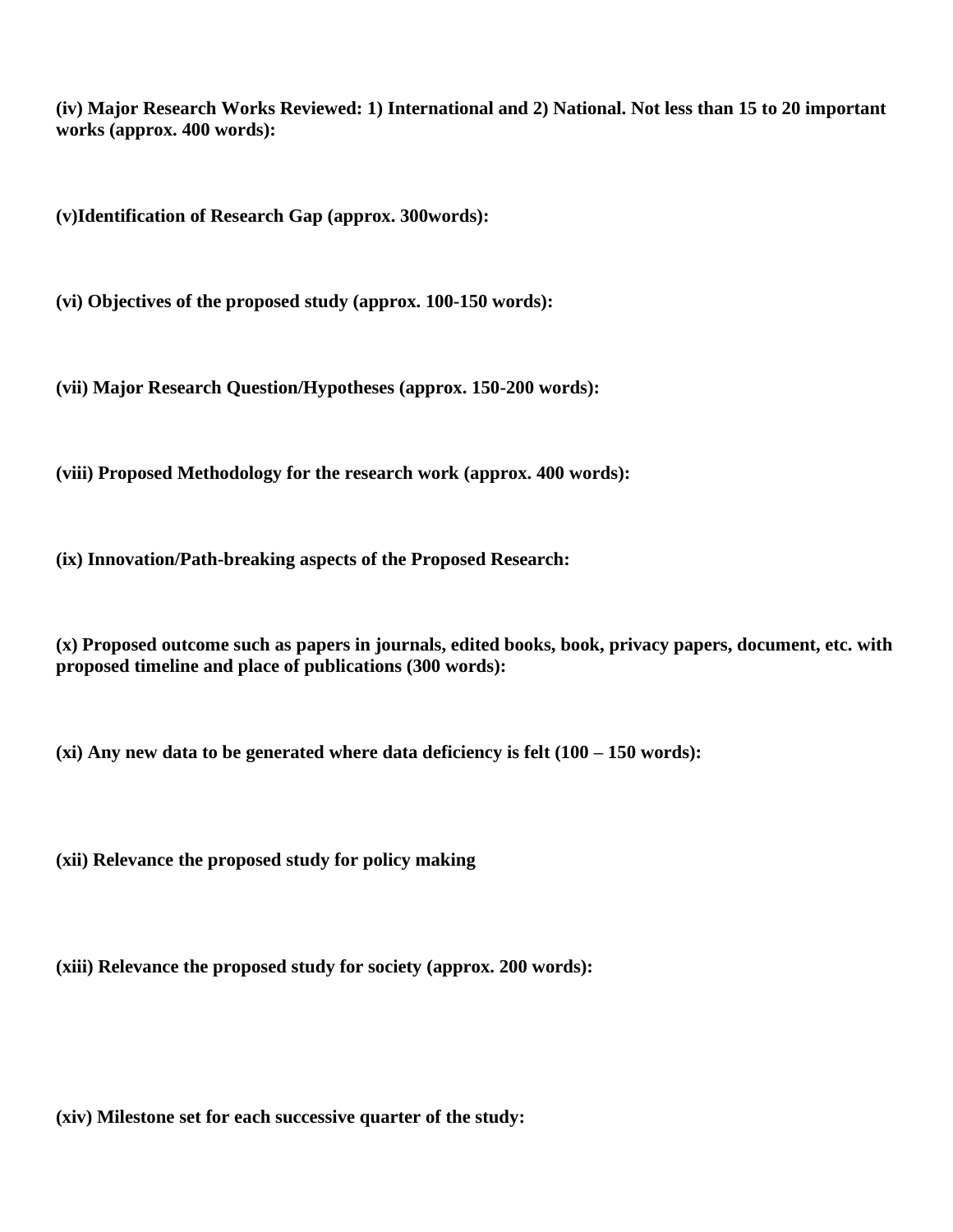**(iv) Major Research Works Reviewed: 1) International and 2) National. Not less than 15 to 20 important works (approx. 400 words):** 

**(v)Identification of Research Gap (approx. 300words):**

**(vi) Objectives of the proposed study (approx. 100-150 words):**

**(vii) Major Research Question/Hypotheses (approx. 150-200 words):**

**(viii) Proposed Methodology for the research work (approx. 400 words):**

**(ix) Innovation/Path-breaking aspects of the Proposed Research:**

**(x) Proposed outcome such as papers in journals, edited books, book, privacy papers, document, etc. with proposed timeline and place of publications (300 words):**

**(xi) Any new data to be generated where data deficiency is felt (100 – 150 words):**

**(xii) Relevance the proposed study for policy making** 

**(xiii) Relevance the proposed study for society (approx. 200 words):**

**(xiv) Milestone set for each successive quarter of the study:**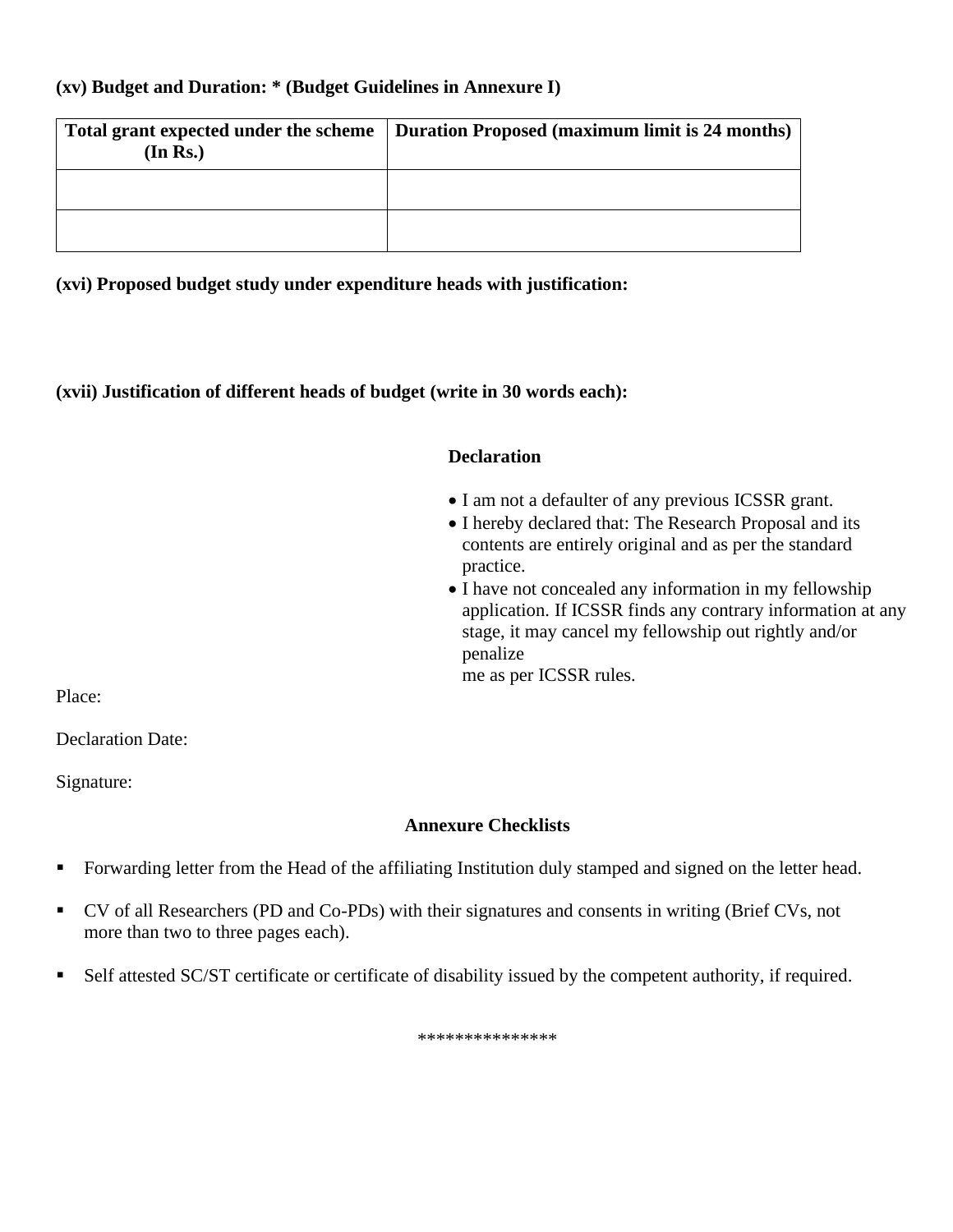#### **(xv) Budget and Duration: \* (Budget Guidelines in Annexure I)**

| (In Rs.) | Total grant expected under the scheme   Duration Proposed (maximum limit is 24 months) |
|----------|----------------------------------------------------------------------------------------|
|          |                                                                                        |
|          |                                                                                        |

**(xvi) Proposed budget study under expenditure heads with justification:**

**(xvii) Justification of different heads of budget (write in 30 words each):**

#### **Declaration**

- I am not a defaulter of any previous ICSSR grant.
- I hereby declared that: The Research Proposal and its contents are entirely original and as per the standard practice.
- I have not concealed any information in my fellowship application. If ICSSR finds any contrary information at any stage, it may cancel my fellowship out rightly and/or penalize

me as per ICSSR rules.

Place:

Declaration Date:

Signature:

## **Annexure Checklists**

- Forwarding letter from the Head of the affiliating Institution duly stamped and signed on the letter head.
- CV of all Researchers (PD and Co-PDs) with their signatures and consents in writing (Brief CVs, not more than two to three pages each).
- Self attested SC/ST certificate or certificate of disability issued by the competent authority, if required.

\*\*\*\*\*\*\*\*\*\*\*\*\*\*\*